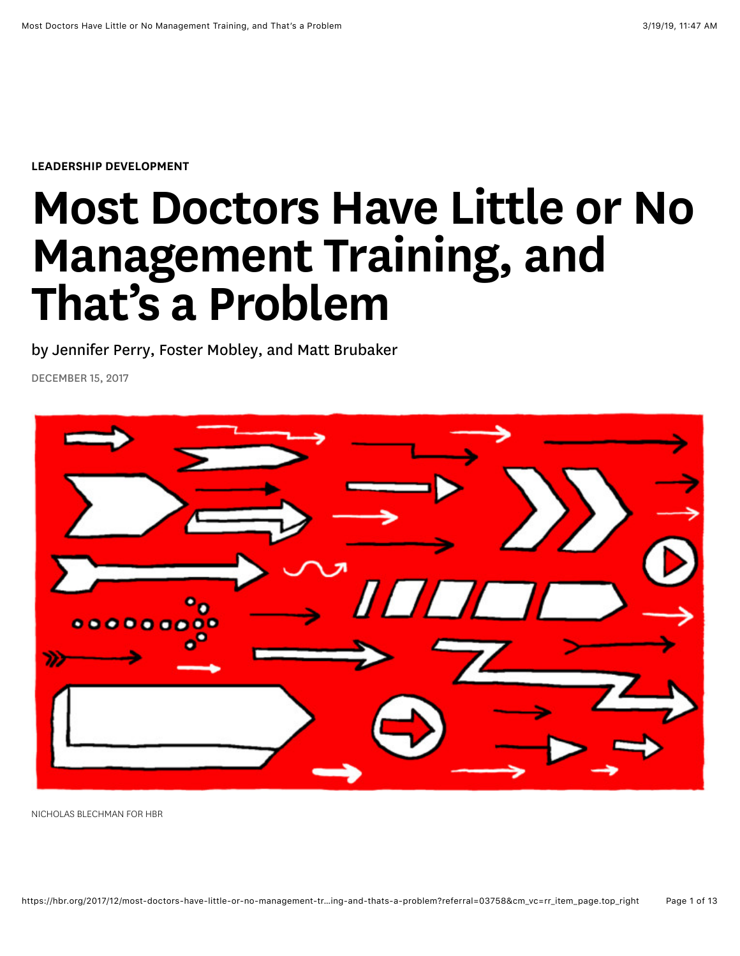[LEADERSHIP DEVELOPMENT](https://hbr.org/topic/leadership-development)

# Most Doctors Have Little or No Management Training, and That's a Problem

by [Jennifer Perry](https://hbr.org/search?term=jennifer%20perry), [Foster Mobley,](https://hbr.org/search?term=foster%20mobley) and [Matt Brubaker](https://hbr.org/search?term=matt%20brubaker)

DECEMBER 15, 2017



NICHOLAS BLECHMAN FOR HBR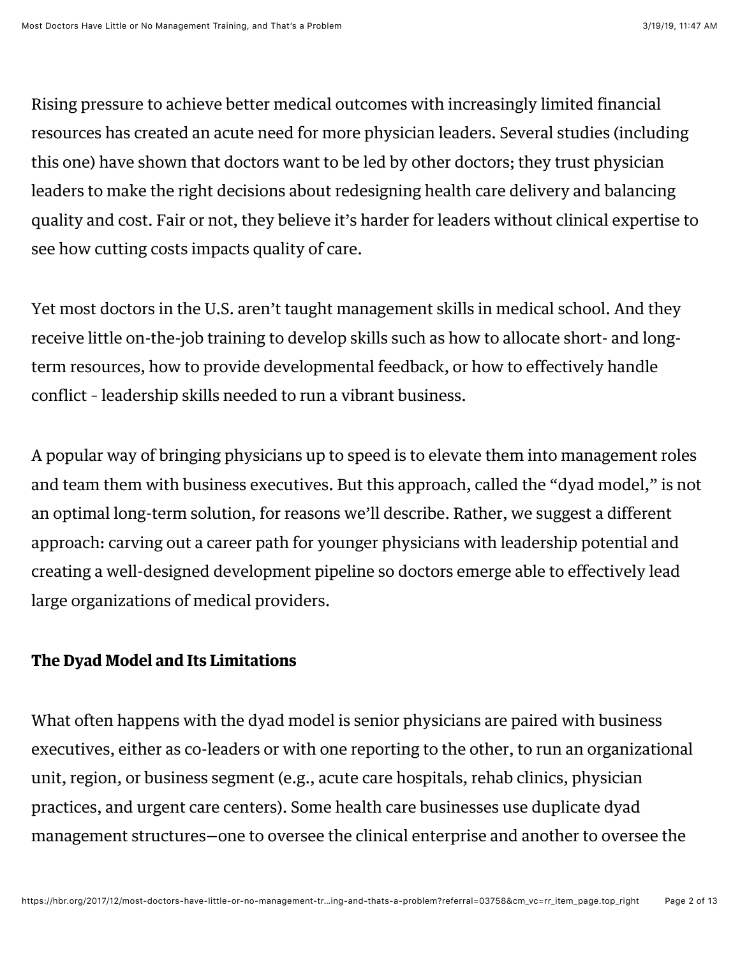Rising pressure to achieve better medical outcomes with increasingly limited financial resources has created an acute need for more physician leaders. Several studies (including this [one\)](http://ftp.iza.org/dp5830.pdf) have shown that doctors want to be led by other doctors; they trust physician leaders to make the right decisions about redesigning health care delivery and balancing quality and cost. Fair or not, they believe it's harder for leaders without clinical expertise to see how cutting costs impacts quality of care.

Yet most doctors in the U.S. aren't taught management skills in medical school. And they receive little on-the-job training to develop skills such as how to allocate short- and longterm resources, how to provide developmental feedback, or how to effectively handle conflict – leadership skills needed to run a vibrant business.

A popular way of bringing physicians up to speed is to elevate them into management roles and team them with business executives. But this approach, called the "dyad model," is not an optimal long-term solution, for reasons we'll describe. Rather, we suggest a different approach: carving out a career path for younger physicians with leadership potential and creating a well-designed development pipeline so doctors emerge able to effectively lead large organizations of medical providers.

### The Dyad Model and Its Limitations

What often happens with the dyad model is senior physicians are paired with business executives, either as co-leaders or with one reporting to the other, to run an organizational unit, region, or business segment (e.g., acute care hospitals, rehab clinics, physician practices, and urgent care centers). Some health care businesses use duplicate dyad management structures—one to oversee the clinical enterprise and another to oversee the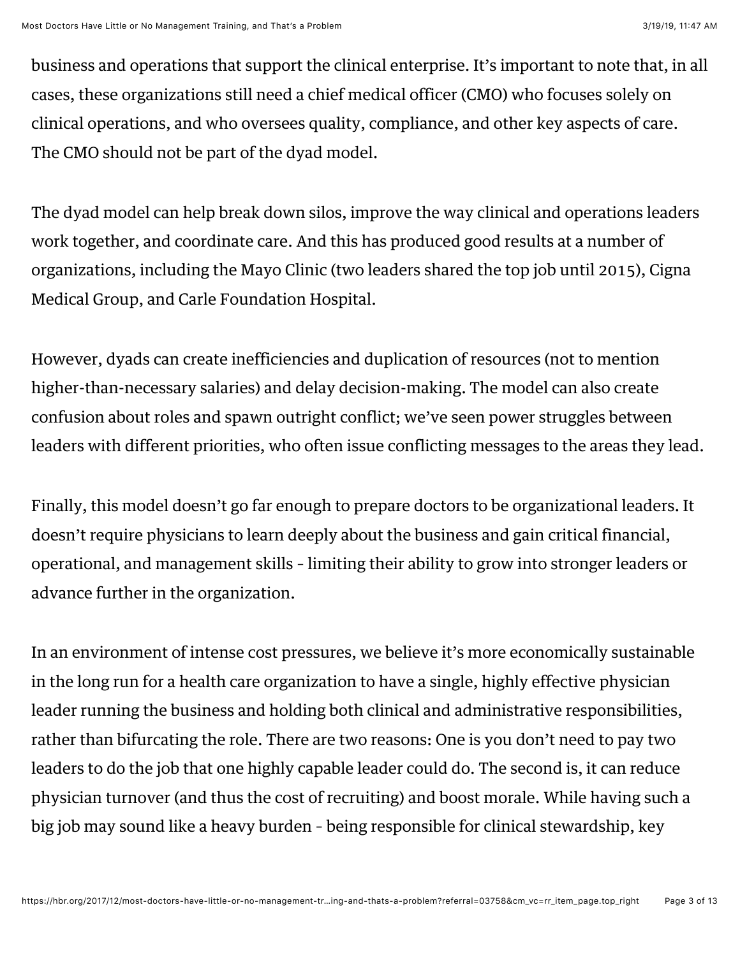business and operations that support the clinical enterprise. It's important to note that, in all cases, these organizations still need a chief medical officer (CMO) who focuses solely on clinical operations, and who oversees quality, compliance, and other key aspects of care. The CMO should not be part of the dyad model.

The dyad model can help break down silos, improve the way clinical and operations leaders work together, and coordinate care. And this has produced good results at a number of organizations, including the Mayo Clinic (two [leaders](https://www.mgma.com/practice-resources/mgma-connection-plus/online-only/2015/september/5-success-factors-for-physician-administrator-partnerships) shared the top job until 2015), Cigna Medical Group, and Carle Foundation Hospital.

However, dyads can create inefficiencies and duplication of resources (not to mention higher-than-necessary salaries) and delay decision-making. The model can also create confusion about roles and spawn outright conflict; we've seen power struggles between leaders with different priorities, who often issue conflicting messages to the areas they lead.

Finally, this model doesn't go far enough to prepare doctors to be organizational leaders. It doesn't require physicians to learn deeply about the business and gain critical financial, operational, and management skills – limiting their ability to grow into stronger leaders or advance further in the organization.

In an environment of intense cost pressures, we believe it's more economically sustainable in the long run for a health care organization to have a single, highly effective physician leader running the business and holding both clinical and administrative responsibilities, rather than bifurcating the role. There are two reasons: One is you don't need to pay two leaders to do the job that one highly capable leader could do. The second is, it can reduce physician turnover (and thus the cost of recruiting) and boost morale. While having such a big job may sound like a heavy burden – being responsible for clinical stewardship, key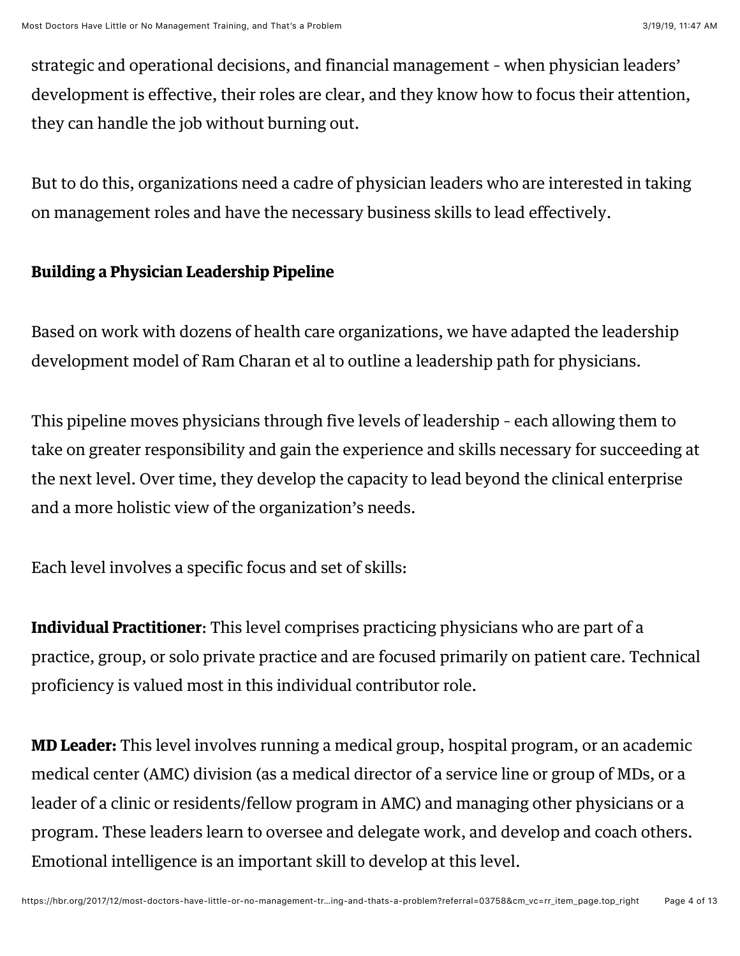strategic and operational decisions, and financial management – when physician leaders' development is effective, their roles are clear, and they know how to focus their attention, they can handle the job without burning out.

But to do this, organizations need a cadre of physician leaders who are interested in taking on management roles and have the necessary business skills to lead effectively.

# Building a Physician Leadership Pipeline

Based on work with dozens of health care organizations, we have adapted the leadership development model of [Ram Charan et al](https://www.amazon.com/dp/B004BA5776/ref=dp-kindle-redirect?_encoding=UTF8&btkr=1) to outline a [leadership path](http://www.fmgleading.com/whitepapers) for physicians.

This pipeline moves physicians through five levels of leadership – each allowing them to take on greater responsibility and gain the experience and skills necessary for succeeding at the next level. Over time, they develop the capacity to lead beyond the clinical enterprise and a more holistic view of the organization's needs.

Each level involves a specific focus and set of skills:

Individual Practitioner: This level comprises practicing physicians who are part of a practice, group, or solo private practice and are focused primarily on patient care. Technical proficiency is valued most in this individual contributor role.

MD Leader: This level involves running a medical group, hospital program, or an academic medical center (AMC) division (as a medical director of a service line or group of MDs, or a leader of a clinic or residents/fellow program in AMC) and managing other physicians or a program. These leaders learn to oversee and delegate work, and develop and coach others. Emotional intelligence is an important skill to develop at this level.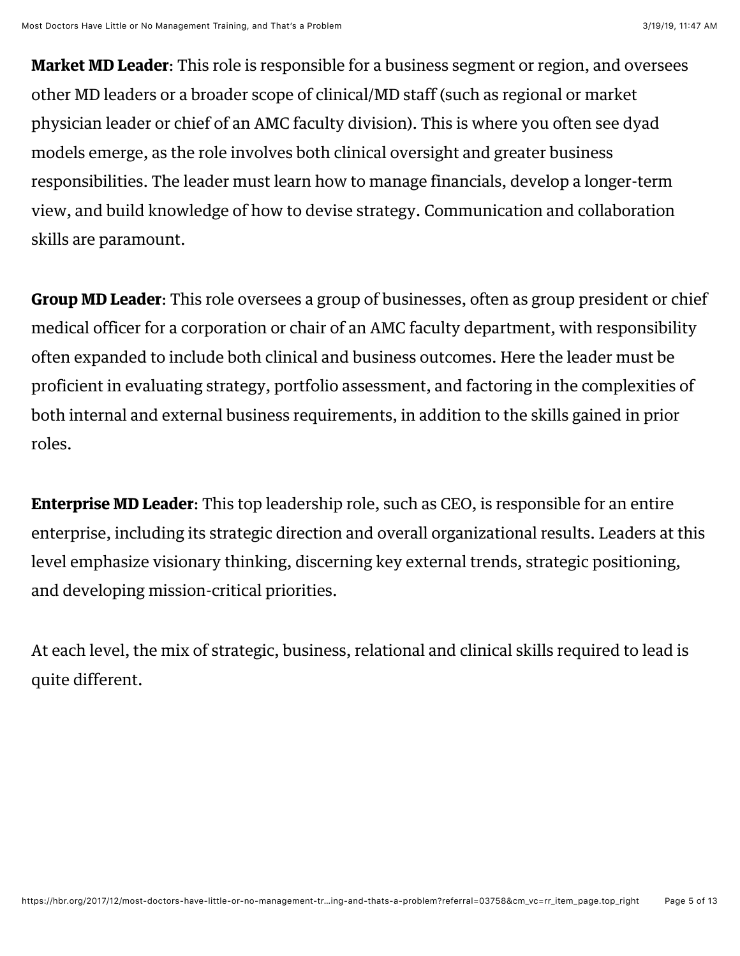Market MD Leader: This role is responsible for a business segment or region, and oversees other MD leaders or a broader scope of clinical/MD staff (such as regional or market physician leader or chief of an AMC faculty division). This is where you often see dyad models emerge, as the role involves both clinical oversight and greater business responsibilities. The leader must learn how to manage financials, develop a longer-term view, and build knowledge of how to devise strategy. Communication and collaboration skills are paramount.

Group MD Leader: This role oversees a group of businesses, often as group president or chief medical officer for a corporation or chair of an AMC faculty department, with responsibility often expanded to include both clinical and business outcomes. Here the leader must be proficient in evaluating strategy, portfolio assessment, and factoring in the complexities of both internal and external business requirements, in addition to the skills gained in prior roles.

Enterprise MD Leader: This top leadership role, such as CEO, is responsible for an entire enterprise, including its strategic direction and overall organizational results. Leaders at this level emphasize visionary thinking, discerning key external trends, strategic positioning, and developing mission-critical priorities.

At each level, the mix of strategic, business, relational and clinical skills required to lead is quite different.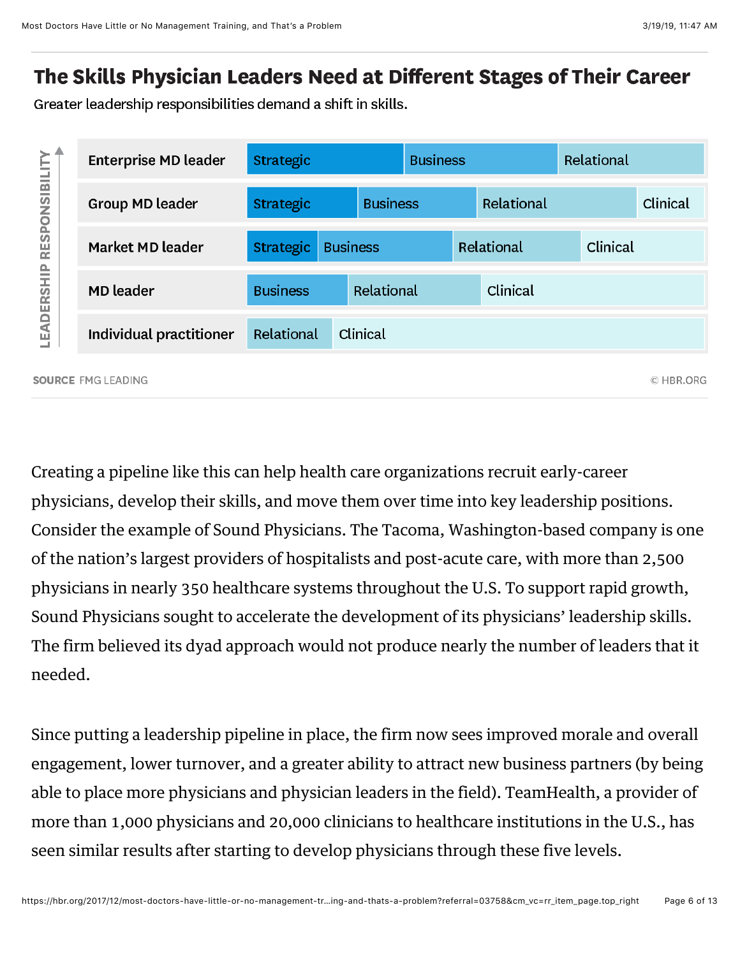# The Skills Physician Leaders Need at Different Stages of Their Career

Greater leadership responsibilities demand a shift in skills.



Creating a pipeline like this can help health care organizations recruit early-career physicians, develop their skills, and move them over time into key leadership positions. Consider the example of [Sound Physicians.](https://soundphysicians.com/) The Tacoma, Washington-based company is one of the nation's largest providers of hospitalists and post-acute care, with more than 2,500 physicians in nearly 350 healthcare systems throughout the U.S. To support rapid growth, Sound Physicians sought to accelerate the development of its physicians' leadership skills. The firm believed its dyad approach would not produce nearly the number of leaders that it needed.

Since putting a leadership pipeline in place, the firm now sees improved morale and overall engagement, lower turnover, and a greater ability to attract new business partners (by being able to place more physicians and physician leaders in the field). TeamHealth, a provider of more than 1,000 physicians and 20,000 clinicians to healthcare institutions in the U.S., has seen similar results after starting to develop physicians through these five levels.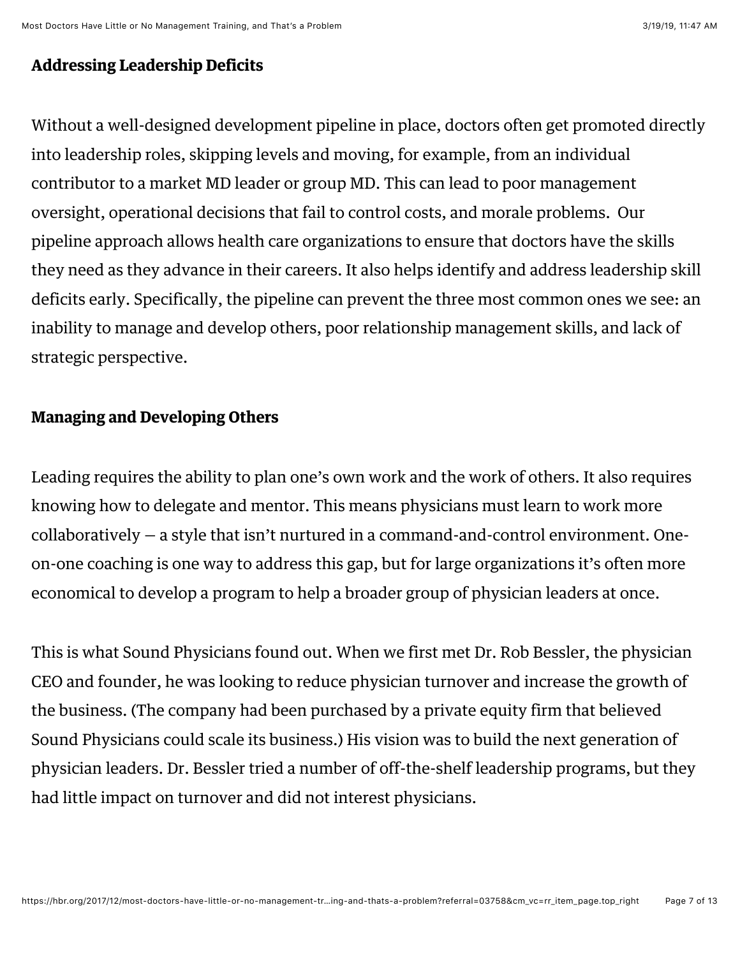## Addressing Leadership Deficits

Without a well-designed development pipeline in place, doctors often get promoted directly into leadership roles, skipping levels and moving, for example, from an individual contributor to a market MD leader or group MD. This can lead to poor management oversight, operational decisions that fail to control costs, and morale problems. Our pipeline approach allows health care organizations to ensure that doctors have the skills they need as they advance in their careers. It also helps identify and address leadership skill deficits early. Specifically, the pipeline can prevent the three most common ones we see: an inability to manage and develop others, poor relationship management skills, and lack of strategic perspective.

# Managing and Developing Others

Leading requires the ability to plan one's own work and the work of others. It also requires knowing how to delegate and mentor. This means physicians must learn to work more collaboratively — a style that isn't nurtured in a command-and-control environment. Oneon-one coaching is one way to address this gap, but for large organizations it's often more economical to develop a program to help a broader group of physician leaders at once.

This is what Sound Physicians found out. When we first met Dr. Rob Bessler, the physician CEO and founder, he was looking to reduce physician turnover and increase the growth of the business. (The company had been purchased by a private equity firm that believed Sound Physicians could scale its business.) His vision was to build the next generation of physician leaders. Dr. Bessler tried a number of off-the-shelf leadership programs, but they had little impact on turnover and did not interest physicians.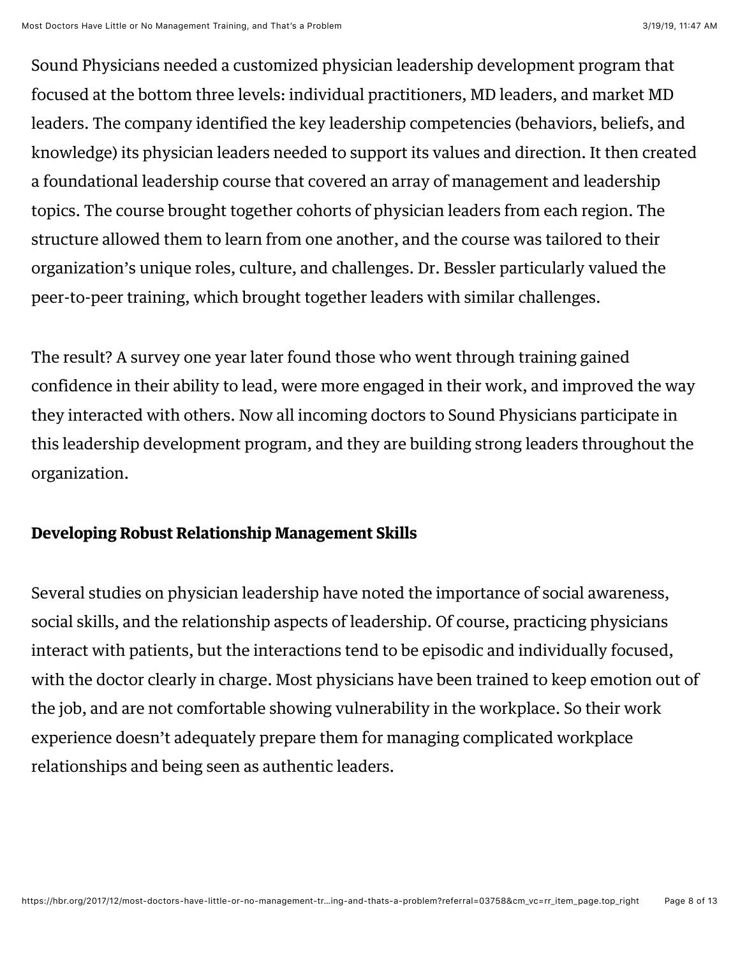Sound Physicians needed a customized physician leadership development program that focused at the bottom three levels: individual practitioners, MD leaders, and market MD leaders. The company identified the key leadership competencies (behaviors, beliefs, and knowledge) its physician leaders needed to support its values and direction. It then created a foundational leadership course that covered an array of management and leadership topics. The course brought together cohorts of physician leaders from each region. The structure allowed them to learn from one another, and the course was tailored to their organization's unique roles, culture, and challenges. Dr. Bessler particularly valued the peer-to-peer training, which brought together leaders with similar challenges.

The result? A survey one year later found those who went through training gained confidence in their ability to lead, were more engaged in their work, and improved the way they interacted with others. Now all incoming doctors to Sound Physicians participate in this leadership development program, and they are building strong leaders throughout the organization.

# Developing Robust Relationship Management Skills

Several [studies](https://aeon.co/essays/bullying-junior-medical-staff-is-one-way-to-harm-patients) on physician leadership have noted the importance of social awareness, social skills, and the relationship aspects of leadership. Of course, practicing physicians interact with patients, but the interactions tend to be episodic and individually focused, with the doctor clearly in charge. Most physicians have been trained to keep emotion out of the job, and are not comfortable showing vulnerability in the workplace. So their work experience doesn't adequately prepare them for managing complicated workplace relationships and being seen as authentic leaders.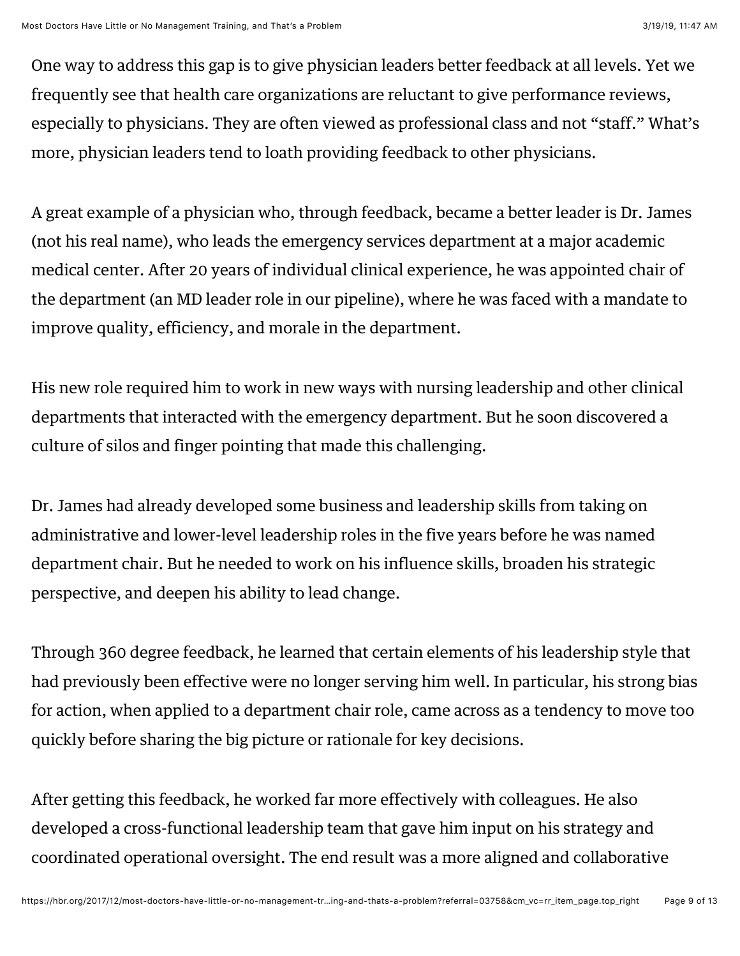One way to address this gap is to give physician leaders better feedback at all levels. Yet we frequently see that health care organizations are reluctant to give performance reviews, especially to physicians. They are often viewed as professional class and not "staff." What's more, physician leaders tend to loath providing feedback to other physicians.

A great example of a physician who, through feedback, became a better leader is Dr. James (not his real name), who leads the emergency services department at a major academic medical center. After 20 years of individual clinical experience, he was appointed chair of the department (an MD leader role in our pipeline), where he was faced with a mandate to improve quality, efficiency, and morale in the department.

His new role required him to work in new ways with nursing leadership and other clinical departments that interacted with the emergency department. But he soon discovered a culture of silos and finger pointing that made this challenging.

Dr. James had already developed some business and leadership skills from taking on administrative and lower-level leadership roles in the five years before he was named department chair. But he needed to work on his influence skills, broaden his strategic perspective, and deepen his ability to lead change.

Through 360 degree feedback, he learned that certain elements of his leadership style that had previously been effective were no longer serving him well. In particular, his strong bias for action, when applied to a department chair role, came across as a tendency to move too quickly before sharing the big picture or rationale for key decisions.

After getting this feedback, he worked far more effectively with colleagues. He also developed a cross-functional leadership team that gave him input on his strategy and coordinated operational oversight. The end result was a more aligned and collaborative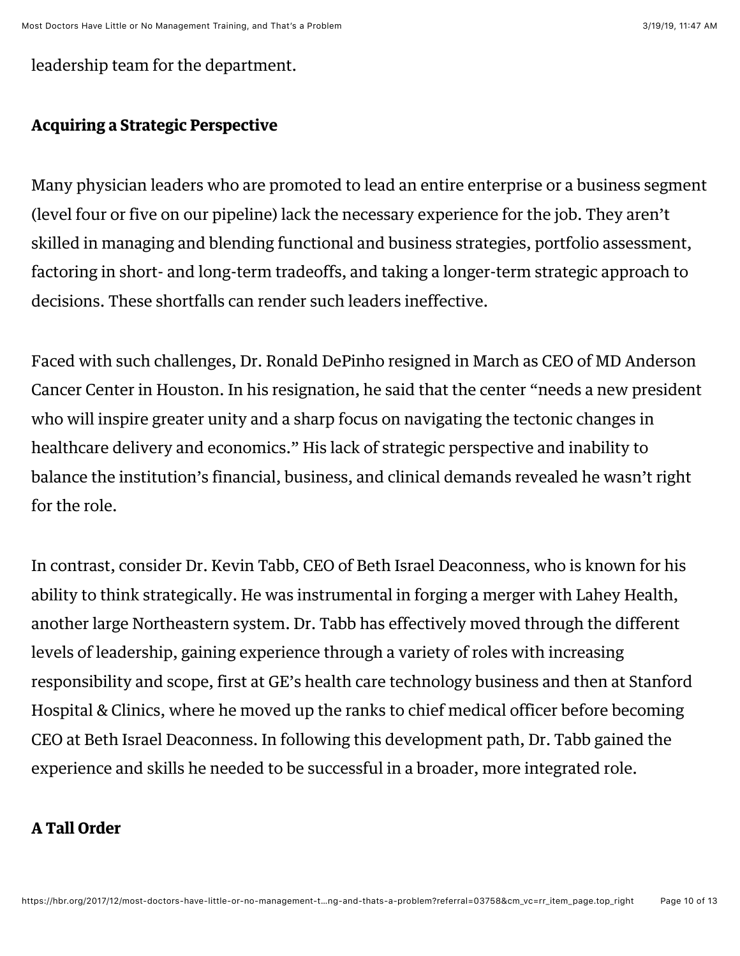leadership team for the department.

#### Acquiring a Strategic Perspective

Many physician leaders who are promoted to lead an entire enterprise or a business segment (level four or five on our pipeline) lack the necessary experience for the job. They aren't skilled in managing and blending functional and business strategies, portfolio assessment, factoring in short- and long-term tradeoffs, and taking a longer-term strategic approach to decisions. These shortfalls can render such leaders ineffective.

Faced with such challenges, Dr. Ronald DePinho resigned in March as CEO of MD Anderson Cancer Center in Houston. In his resignation, he [said](http://www.modernhealthcare.com/article/20170308/NEWS/170309897) that the center "needs a new president who will inspire greater unity and a sharp focus on navigating the tectonic changes in healthcare delivery and economics." His lack of strategic perspective and inability to balance the institution's financial, business, and clinical demands revealed he wasn't right for the role.

In contrast, consider Dr. Kevin Tabb, CEO of Beth Israel Deaconness, who is [known](http://www.bostonglobe.com/business/2017/03/08/this-guy-take-partners-healthcare/kUbvQHPrTgaFapE6ymxl1J/story.html?s_campaign=8315) for his ability to think strategically. He was instrumental in forging a merger with Lahey Health, another large Northeastern system. Dr. Tabb has effectively moved through the different levels of leadership, gaining experience through a variety of roles with increasing responsibility and scope, first at GE's health care technology business and then at Stanford Hospital & Clinics, where he moved up the ranks to chief medical officer before becoming CEO at Beth Israel Deaconness. In following this development path, Dr. Tabb gained the experience and skills he needed to be successful in a broader, more integrated role.

#### A Tall Order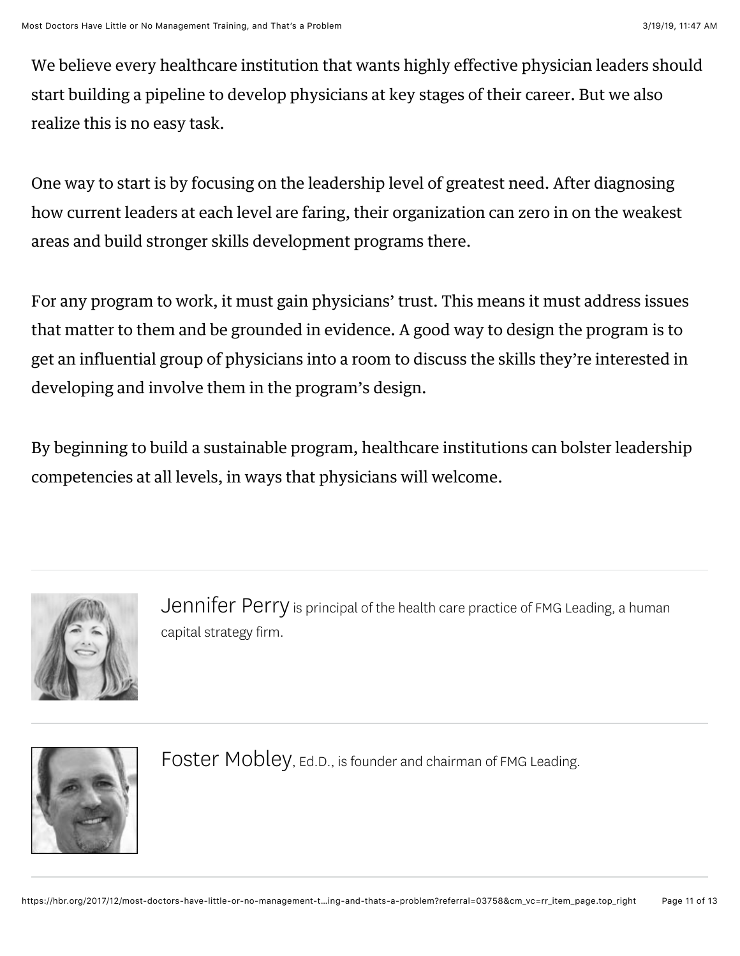We believe every healthcare institution that wants highly effective physician leaders should start building a pipeline to develop physicians at key stages of their career. But we also realize this is no easy task.

One way to start is by focusing on the leadership level of greatest need. After diagnosing how current leaders at each level are faring, their organization can zero in on the weakest areas and build stronger skills development programs there.

For any program to work, it must gain physicians' trust. This means it must address issues that matter to them and be grounded in evidence. A good way to design the program is to get an influential group of physicians into a room to discuss the skills they're interested in developing and involve them in the program's design.

By beginning to build a sustainable program, healthcare institutions can bolster leadership competencies at all levels, in ways that physicians will welcome.



[Jennifer Perry](https://hbr.org/search?term=jennifer%20perry&search_type=search-all) is principal of the health care practice of FMG Leading, a human capital strategy firm.



FOSter Mobley, Ed.D., is founder and chairman of [FMG Leading](http://www.fmgleading.com/).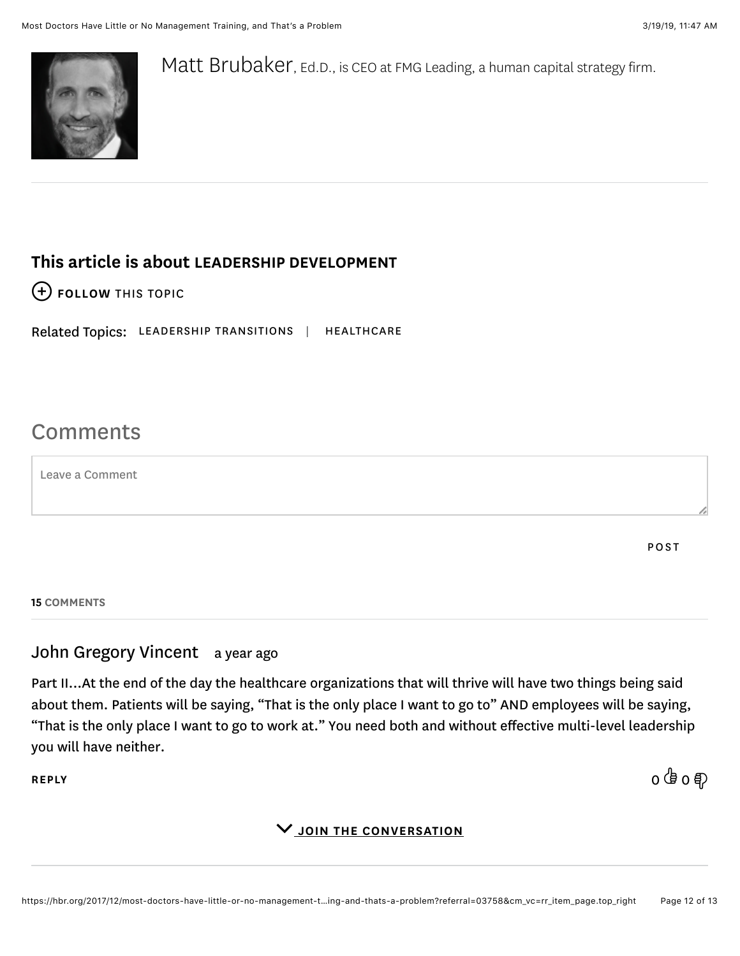

[Matt Brubaker,](https://hbr.org/search?term=matt%20brubaker&search_type=search-all) Ed.D., is CEO at [FMG Leading](http://www.fmgleading.com/), a human capital strategy firm.

# This article is about [LEADERSHIP DEVELOPMENT](https://hbr.org/topic/leadership-development)

[FOLLOW THIS TOPIC](https://hbr.org/2017/12/most-doctors-have-little-or-no-management-training-and-thats-a-problem?referral=03758&cm_vc=rr_item_page.top_right#)

Related Topics: [LEADERSHIP TRANSITIONS](https://hbr.org/topic/leadership-transitions) | [HEALTHCARE](https://hbr.org/topic/healthcare)

# **Comments**

Leave a Comment

POST

15 COMMENTS

# John Gregory Vincent a year ago

Part II...At the end of the day the healthcare organizations that will thrive will have two things being said about them. Patients will be saying, "That is the only place I want to go to" AND employees will be saying, "That is the only place I want to go to work at." You need both and without effective multi-level leadership you will have neither.

[REPLY](https://hbr.org/2017/12/most-doctors-have-little-or-no-management-training-and-thats-a-problem?referral=03758&cm_vc=rr_item_page.top_right#) 0 0

#### V JOIN THE CONVERSATION